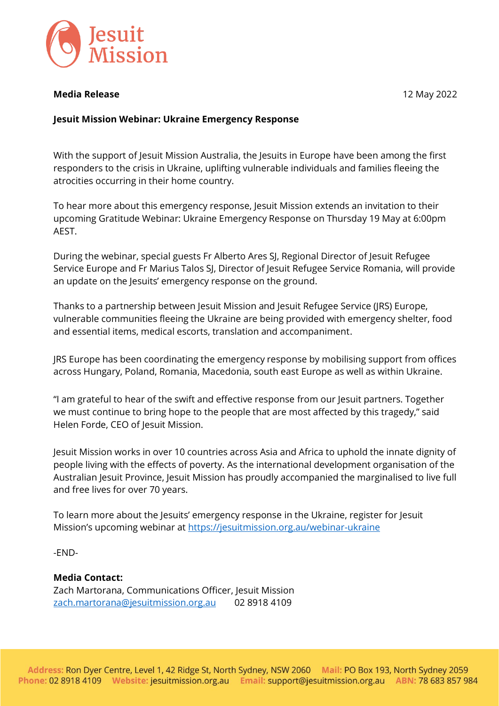

### **Media Release** 12 May 2022

### **Jesuit Mission Webinar: Ukraine Emergency Response**

With the support of Jesuit Mission Australia, the Jesuits in Europe have been among the first responders to the crisis in Ukraine, uplifting vulnerable individuals and families fleeing the atrocities occurring in their home country.

To hear more about this emergency response, Jesuit Mission extends an invitation to their upcoming Gratitude Webinar: Ukraine Emergency Response on Thursday 19 May at 6:00pm AEST.

During the webinar, special guests Fr Alberto Ares SJ, Regional Director of Jesuit Refugee Service Europe and Fr Marius Talos SJ, Director of Jesuit Refugee Service Romania, will provide an update on the Jesuits' emergency response on the ground.

Thanks to a partnership between Jesuit Mission and Jesuit Refugee Service (JRS) Europe, vulnerable communities fleeing the Ukraine are being provided with emergency shelter, food and essential items, medical escorts, translation and accompaniment.

JRS Europe has been coordinating the emergency response by mobilising support from offices across Hungary, Poland, Romania, Macedonia, south east Europe as well as within Ukraine.

"I am grateful to hear of the swift and effective response from our Jesuit partners. Together we must continue to bring hope to the people that are most affected by this tragedy," said Helen Forde, CEO of Jesuit Mission.

Jesuit Mission works in over 10 countries across Asia and Africa to uphold the innate dignity of people living with the effects of poverty. As the international development organisation of the Australian Jesuit Province, Jesuit Mission has proudly accompanied the marginalised to live full and free lives for over 70 years.

To learn more about the Jesuits' emergency response in the Ukraine, register for Jesuit Mission's upcoming webinar at <https://jesuitmission.org.au/webinar-ukraine>

-END-

#### **Media Contact:**

Zach Martorana, Communications Officer, Jesuit Mission [zach.martorana@jesuitmission.org.au](mailto:zach.martorana@jesuitmission.org.au) 02 8918 4109